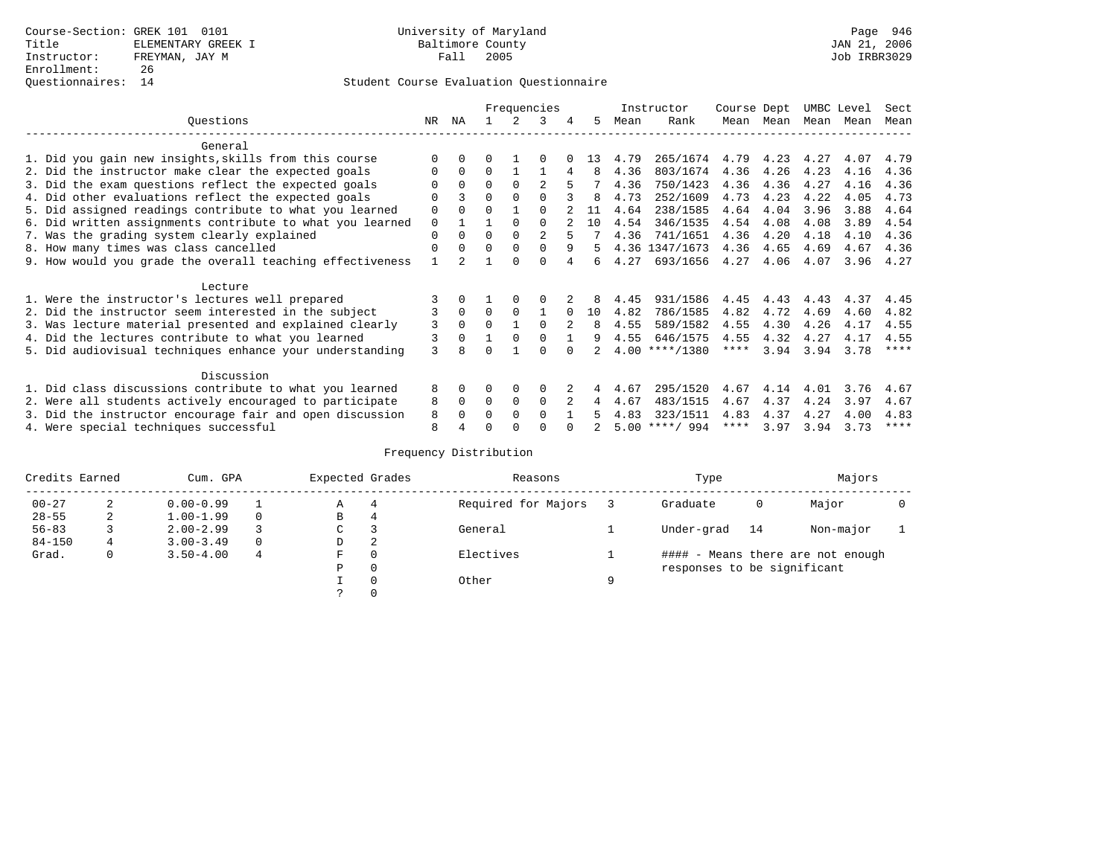# Student Course Evaluation Questionnaire

|                                                           |          |              |          |             | Frequencies    |               |    |      | Instructor       | Course Dept |      | UMBC Level |      | Sect        |
|-----------------------------------------------------------|----------|--------------|----------|-------------|----------------|---------------|----|------|------------------|-------------|------|------------|------|-------------|
| Questions                                                 | NR.      | ΝA           |          |             | 3              | 4             | 5. | Mean | Rank             | Mean        | Mean | Mean       | Mean | Mean        |
| General                                                   |          |              |          |             |                |               |    |      |                  |             |      |            |      |             |
| 1. Did you gain new insights, skills from this course     |          | $\Omega$     | 0        |             | O              |               | 13 | 4.79 | 265/1674         | 4.79        | 4.23 | 4.27       | 4.07 | 4.79        |
| 2. Did the instructor make clear the expected goals       |          | $\Omega$     | $\Omega$ |             |                | 4             | 8  | 4.36 | 803/1674         | 4.36        | 4.26 | 4.23       | 4.16 | 4.36        |
| 3. Did the exam questions reflect the expected goals      |          | $\Omega$     | $\Omega$ | $\Omega$    | $\mathfrak{D}$ |               |    | 4.36 | 750/1423         | 4.36        | 4.36 | 4.27       | 4.16 | 4.36        |
| 4. Did other evaluations reflect the expected goals       | O        |              | O        | $\Omega$    | $\Omega$       |               | 8  | 4.73 | 252/1609         | 4.73        | 4.23 | 4.22       | 4.05 | 4.73        |
| 5. Did assigned readings contribute to what you learned   | 0        |              | O        |             | $\Omega$       |               | 11 | 4.64 | 238/1585         | 4.64        | 4.04 | 3.96       | 3.88 | 4.64        |
| 6. Did written assignments contribute to what you learned | 0        |              |          | $\Omega$    | <sup>0</sup>   |               | 10 | 4.54 | 346/1535         | 4.54        | 4.08 | 4.08       | 3.89 | 4.54        |
| 7. Was the grading system clearly explained               | 0        |              | O        | $\Omega$    |                |               |    | 4.36 | 741/1651         | 4.36        | 4.20 | 4.18       | 4.10 | 4.36        |
| 8. How many times was class cancelled                     | $\Omega$ | $\Omega$     | 0        | $\Omega$    | 0              | 9             | 5. |      | 4.36 1347/1673   | 4.36        | 4.65 | 4.69       | 4.67 | 4.36        |
| 9. How would you grade the overall teaching effectiveness |          |              |          | U           | U              |               |    | 4.27 | 693/1656         | 4.27        | 4.06 | 4.07       | 3.96 | 4.27        |
| Lecture                                                   |          |              |          |             |                |               |    |      |                  |             |      |            |      |             |
| 1. Were the instructor's lectures well prepared           |          |              |          |             |                |               |    | 4.45 | 931/1586         | 4.45        | 4.43 | 4.43       | 4.37 | 4.45        |
| 2. Did the instructor seem interested in the subject      |          | $\mathbf{0}$ | $\Omega$ | $\Omega$    |                | $\Omega$      | 10 | 4.82 | 786/1585         | 4.82        | 4.72 | 4.69       | 4.60 | 4.82        |
| 3. Was lecture material presented and explained clearly   | 3        | $\Omega$     | O        |             | 0              | $\mathcal{L}$ | 8  | 4.55 | 589/1582         | 4.55        | 4.30 | 4.26       | 4.17 | 4.55        |
| 4. Did the lectures contribute to what you learned        | 3        | $\mathbf 0$  |          | $\Omega$    | <sup>0</sup>   |               | 9  | 4.55 | 646/1575         | 4.55        | 4.32 | 4.27       | 4.17 | 4.55        |
| 5. Did audiovisual techniques enhance your understanding  | ζ        |              |          |             |                |               |    |      | $4.00$ ****/1380 | ****        | 3.94 | 3.94       | 3.78 | $* * * * *$ |
| Discussion                                                |          |              |          |             |                |               |    |      |                  |             |      |            |      |             |
| 1. Did class discussions contribute to what you learned   | 8        | $\Omega$     | U        | $\Omega$    | 0              |               |    | 4.67 | 295/1520         | 4.67        | 4.14 | 4.01       | 3.76 | 4.67        |
| 2. Were all students actively encouraged to participate   | 8        | $\Omega$     | $\Omega$ | $\mathbf 0$ | 0              |               | 4  | 4.67 | 483/1515         | 4.67        | 4.37 | 4.24       | 3.97 | 4.67        |
| 3. Did the instructor encourage fair and open discussion  | 8        |              | U        | $\Omega$    | <sup>0</sup>   |               |    | 4.83 | 323/1511         | 4.83        | 4.37 | 4.27       | 4.00 | 4.83        |
| 4. Were special techniques successful                     | 8        |              |          |             |                |               |    |      | $5.00$ ****/ 994 | ****        | 3.97 | 3.94       | 3.73 | $***$ * * * |

# Frequency Distribution

| Credits Earned |   | Cum. GPA      |          |             | Expected Grades | Reasons             |   | Type                        | Majors     |                                   |  |
|----------------|---|---------------|----------|-------------|-----------------|---------------------|---|-----------------------------|------------|-----------------------------------|--|
| $00 - 27$<br>2 |   | $0.00 - 0.99$ |          | А           | 4               | Required for Majors |   | Graduate                    | Major<br>0 |                                   |  |
| $28 - 55$      | 2 | $1.00 - 1.99$ |          | В           | 4               |                     |   |                             |            |                                   |  |
| $56 - 83$      |   | $2.00 - 2.99$ |          | $\sim$<br>◡ |                 | General             |   | Under-grad                  | 14         | Non-major                         |  |
| $84 - 150$     | 4 | $3.00 - 3.49$ | $\Omega$ | D           | 2               |                     |   |                             |            |                                   |  |
| Grad.          | 0 | $3.50 - 4.00$ | 4        | F           | 0               | Electives           |   |                             |            | #### - Means there are not enough |  |
|                |   |               |          | Ρ           | 0               |                     |   | responses to be significant |            |                                   |  |
|                |   |               |          |             | $\Omega$        | Other               | Q |                             |            |                                   |  |
|                |   |               |          |             |                 |                     |   |                             |            |                                   |  |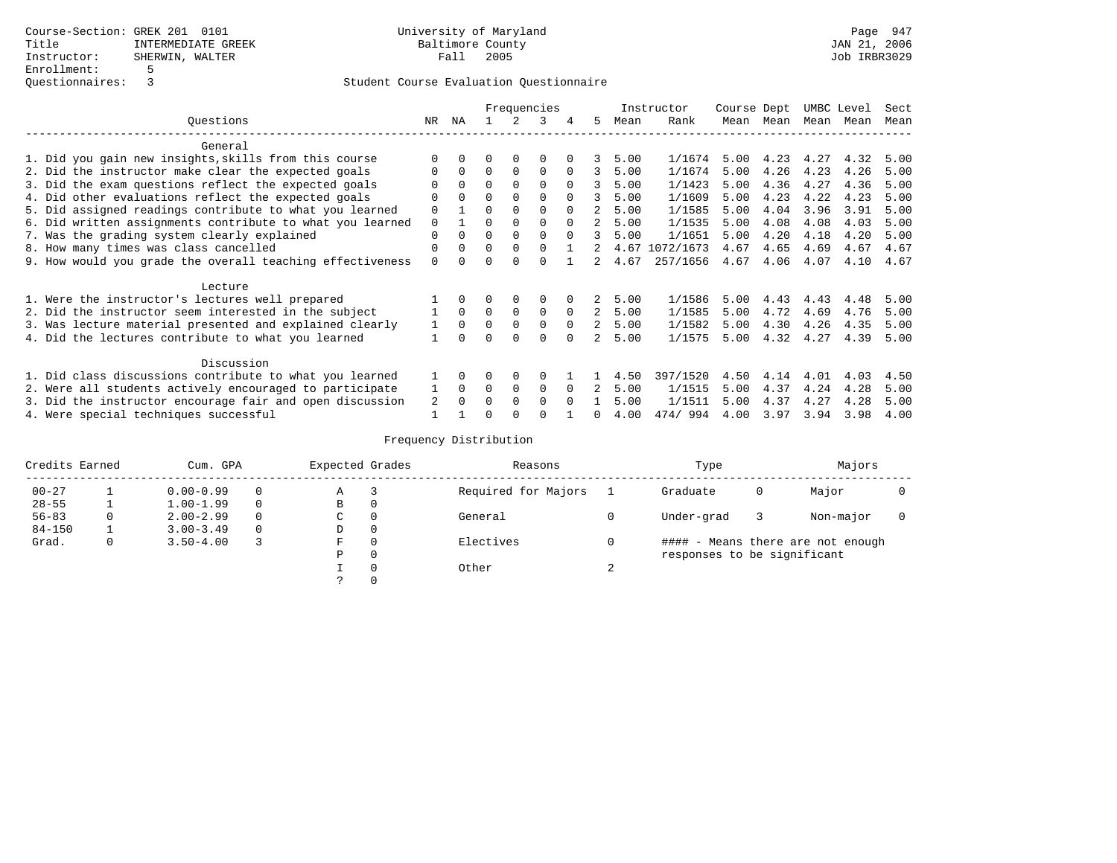# Student Course Evaluation Questionnaire

|                                                           |          | Frequencies |          |          |          |              |             |         | Instructor | Course Dept |      | UMBC Level |      | Sect |
|-----------------------------------------------------------|----------|-------------|----------|----------|----------|--------------|-------------|---------|------------|-------------|------|------------|------|------|
| Ouestions                                                 | NR.      | ΝA          |          |          | 3        |              | 5.          | Mean    | Rank       | Mean        | Mean | Mean       | Mean | Mean |
| General                                                   |          |             |          |          |          |              |             |         |            |             |      |            |      |      |
| 1. Did you gain new insights, skills from this course     |          |             |          |          |          |              |             | 5.00    | 1/1674     | 5.00        | 4.23 | 4.27       | 4.32 | 5.00 |
| 2. Did the instructor make clear the expected goals       |          |             | $\Omega$ | $\Omega$ | $\Omega$ | $\Omega$     | 3           | 5.00    | 1/1674     | 5.00        | 4.26 | 4.23       | 4.26 | 5.00 |
| 3. Did the exam questions reflect the expected goals      |          |             | $\Omega$ |          | $\Omega$ | $\Omega$     | 3           | 5.00    | 1/1423     | 5.00        | 4.36 | 4.27       | 4.36 | 5.00 |
| 4. Did other evaluations reflect the expected goals       |          |             |          |          |          |              | 3           | 5.00    | 1/1609     | 5.00        | 4.23 | 4.22       | 4.23 | 5.00 |
| 5. Did assigned readings contribute to what you learned   | $\Omega$ |             |          |          |          | <sup>n</sup> | $2^{\circ}$ | 5.00    | 1/1585     | 5.00        | 4.04 | 3.96       | 3.91 | 5.00 |
| 6. Did written assignments contribute to what you learned | 0        |             |          |          |          |              |             | 5.00    | 1/1535     | 5.00        | 4.08 | 4.08       | 4.03 | 5.00 |
| 7. Was the grading system clearly explained               |          |             | $\Omega$ |          |          | $\Omega$     | 3           | 5.00    | 1/1651     | 5.00        | 4.20 | 4.18       | 4.20 | 5.00 |
| 8. How many times was class cancelled                     |          |             | $\Omega$ |          |          |              |             | 4.67    | 1072/1673  | 4.67        | 4.65 | 4.69       | 4.67 | 4.67 |
| 9. How would you grade the overall teaching effectiveness | $\Omega$ |             |          |          |          |              |             | 2, 4.67 | 257/1656   | 4.67        | 4.06 | 4.07       | 4.10 | 4.67 |
| Lecture                                                   |          |             |          |          |          |              |             |         |            |             |      |            |      |      |
| 1. Were the instructor's lectures well prepared           |          |             |          |          |          |              | 2           | 5.00    | 1/1586     | 5.00        | 4.43 | 4.43       | 4.48 | 5.00 |
| 2. Did the instructor seem interested in the subject      |          | $\Omega$    | $\Omega$ | $\Omega$ | $\Omega$ | $\Omega$     | 2           | 5.00    | 1/1585     | 5.00        | 4.72 | 4.69       | 4.76 | 5.00 |
| 3. Was lecture material presented and explained clearly   |          | $\Omega$    | $\Omega$ | $\Omega$ | $\Omega$ | $\Omega$     | 2           | 5.00    | 1/1582     | 5.00        | 4.30 | 4.26       | 4.35 | 5.00 |
| 4. Did the lectures contribute to what you learned        |          |             |          | $\Omega$ | $\Omega$ |              | 2           | 5.00    | 1/1575     | 5.00        | 4.32 | 4.27       | 4.39 | 5.00 |
| Discussion                                                |          |             |          |          |          |              |             |         |            |             |      |            |      |      |
| 1. Did class discussions contribute to what you learned   |          | $\Omega$    |          | $\Omega$ |          |              |             | 4.50    | 397/1520   | 4.50        | 4.14 | 4.01       | 4.03 | 4.50 |
| 2. Were all students actively encouraged to participate   |          | $\Omega$    | $\Omega$ | $\Omega$ | $\Omega$ | $\Omega$     | 2           | 5.00    | 1/1515     | 5.00        | 4.37 | 4.24       | 4.28 | 5.00 |
| 3. Did the instructor encourage fair and open discussion  | 2        |             | $\Omega$ |          | $\cap$   |              |             | 5.00    | 1/1511     | 5.00        | 4.37 | 4.27       | 4.28 | 5.00 |
| 4. Were special techniques successful                     |          |             |          |          |          |              |             | 4.00    | 474/994    | 4.00        | 3.97 | 3.94       | 3.98 | 4.00 |

# Frequency Distribution

| Credits Earned |   | Cum. GPA      |          |   | Expected Grades | Reasons             | Type                        | Majors |                                   |  |
|----------------|---|---------------|----------|---|-----------------|---------------------|-----------------------------|--------|-----------------------------------|--|
| $00 - 27$      |   | $0.00 - 0.99$ | $\Omega$ | Α | 3               | Required for Majors | Graduate                    | 0      | Major                             |  |
| $28 - 55$      |   | $1.00 - 1.99$ | $\Omega$ | B | 0               |                     |                             |        |                                   |  |
| $56 - 83$      | 0 | $2.00 - 2.99$ | $\Omega$ | C | 0               | General             | Under-grad                  |        | Non-major                         |  |
| $84 - 150$     |   | $3.00 - 3.49$ | $\Omega$ | D | 0               |                     |                             |        |                                   |  |
| Grad.          | 0 | $3.50 - 4.00$ |          | F | $\Omega$        | Electives           |                             |        | #### - Means there are not enough |  |
|                |   |               |          | Ρ | 0               |                     | responses to be significant |        |                                   |  |
|                |   |               |          |   | $\Omega$        | Other               |                             |        |                                   |  |
|                |   |               |          |   |                 |                     |                             |        |                                   |  |